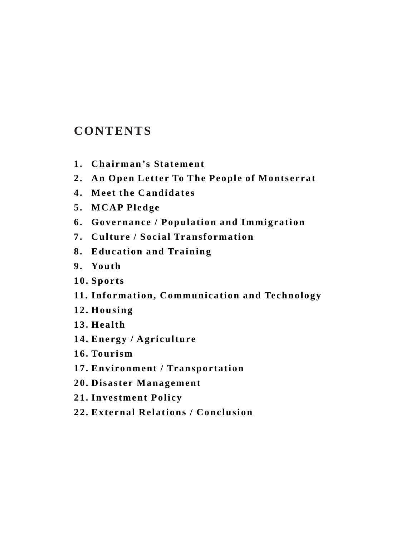### **CONTENTS**

- **1. Chairman's Statement**
- **2. An Open Letter To The People of Montserrat**
- **4. Meet the Candidates**
- **5. MCAP Pledge**
- **6. Governance / Population and Immigration**
- **7. Culture / Social Transformation**
- **8. Education and Training**
- **9. Youth**
- **10. Sports**
- **11. Information, Communication and Technology**
- **12. Housing**
- **13. Health**
- **14. Energy / Agriculture**
- **16. Tourism**
- **17. Environment / Transportation**
- **20. Disaster Management**
- **21. Investment Policy**
- **22. External Relations / Conclusion**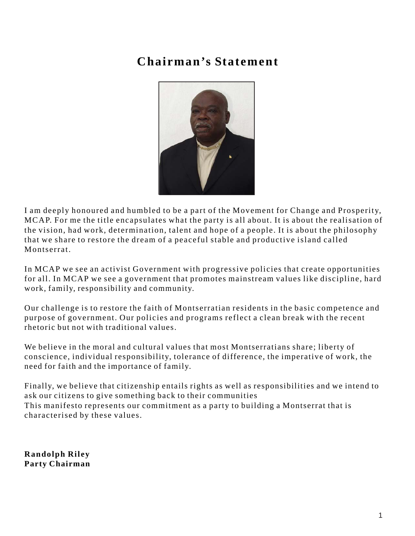### **Chairman's Statement**



I am deeply honoured and humbled to be a part of the Movement for Change and Prosperity, MCAP. For me the title encapsulates what the party is all about. It is about the realisation of the vision, had work, determination, talent and hope of a people. It is about the philosophy that we share to restore the dream of a peaceful stable and productive island called Montserrat.

In MCAP we see an activist Government with progressive policies that create opportunities for all. In MCAP we see a government that promotes mainstream values like discipline, hard work, family, responsibility and community.

Our challenge is to restore the faith of Montserratian residents in the basic competence and purpose of government. Our policies and programs reflect a clean break with the recent rhetoric but not with traditional values.

We believe in the moral and cultural values that most Montserratians share; liberty of conscience, individual responsibility, tolerance of difference, the imperative of work, the need for faith and the importance of family.

Finally, we believe that citizenship entails rights as well as responsibilities and we intend to ask our citizens to give something back to their communities This manifesto represents our commitment as a party to building a Montserrat that is characterised by these values.

**Randolph Riley Party Chairman**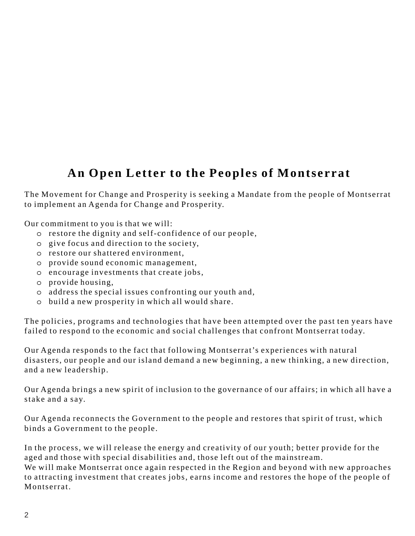### **An Open Letter to the Peoples of Montserrat**

The Movement for Change and Prosperity is seeking a Mandate from the people of Montserrat to implement an Agenda for Change and Prosperity.

Our commitment to you is that we will:

- o restore the dignity and self-confidence of our people,
- o give focus and direction to the society,
- o restore our shattered environment,
- o provide sound economic management,
- o encourage investments that create jobs,
- o provide housing,
- o address the special issues confronting our youth and,
- o build a new prosperity in which all would share.

The policies, programs and technologies that have been attempted over the past ten years have failed to respond to the economic and social challenges that confront Montserrat today.

Our Agenda responds to the fact that following Montserrat's experiences with natural disasters, our people and our island demand a new beginning, a new thinking, a new direction, and a new leadership.

Our Agenda brings a new spirit of inclusion to the governance of our affairs; in which all have a stake and a say.

Our Agenda reconnects the Government to the people and restores that spirit of trust, which binds a Government to the people.

In the process, we will release the energy and creativity of our youth; better provide for the aged and those with special disabilities and, those left out of the mainstream. We will make Montserrat once again respected in the Region and beyond with new approaches to attracting investment that creates jobs, earns income and restores the hope of the people of Montserrat.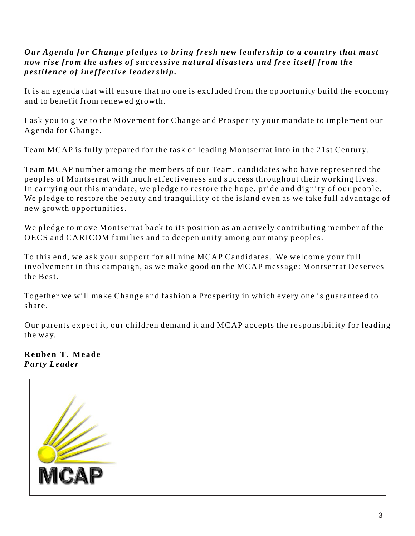#### *Our Agenda for Change pledges to bring fresh new leadership to a country that must now rise from the ashes of successive natural disasters and free itself from the pestilence of ineffective leadership.*

It is an agenda that will ensure that no one is excluded from the opportunity build the economy and to benefit from renewed growth.

I ask you to give to the Movement for Change and Prosperity your mandate to implement our Agenda for Change.

Team MCAP is fully prepared for the task of leading Montserrat into in the 21st Century.

Team MCAP number among the members of our Team, candidates who have represented the peoples of Montserrat with much effectiveness and success throughout their working lives. In carrying out this mandate, we pledge to restore the hope, pride and dignity of our people. We pledge to restore the beauty and tranquillity of the island even as we take full advantage of new growth opportunities.

We pledge to move Montserrat back to its position as an actively contributing member of the OECS and CARICOM families and to deepen unity among our many peoples.

To this end, we ask your support for all nine MCAP Candidates. We welcome your full involvement in this campaign, as we make good on the MCAP message: Montserrat Deserves the Best.

Together we will make Change and fashion a Prosperity in which every one is guaranteed to share.

Our parents expect it, our children demand it and MCAP accepts the responsibility for leading the way.

**Reuben T. Meade**  *Party Leader*

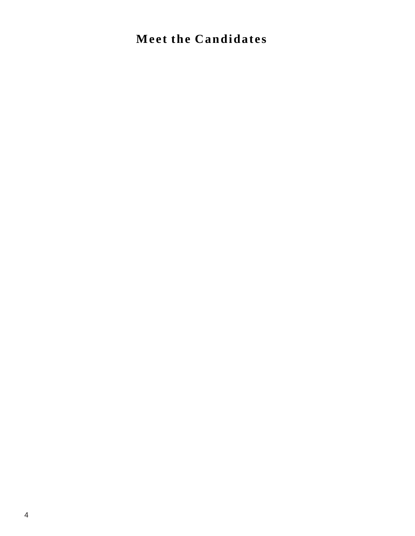### **Meet the Candidates**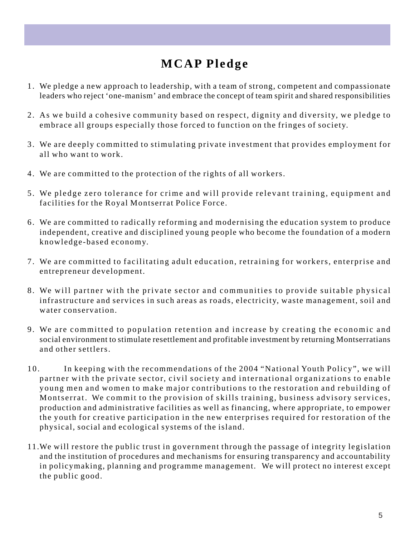### **MCAP Pledge**

- 1. We pledge a new approach to leadership, with a team of strong, competent and compassionate leaders who reject 'one-manism' and embrace the concept of team spirit and shared responsibilities
- 2. As we build a cohesive community based on respect, dignity and diversity, we pledge to embrace all groups especially those forced to function on the fringes of society.
- 3. We are deeply committed to stimulating private investment that provides employment for all who want to work.
- 4. We are committed to the protection of the rights of all workers.
- 5. We pledge zero tolerance for crime and will provide relevant training, equipment and facilities for the Royal Montserrat Police Force.
- 6. We are committed to radically reforming and modernising the education system to produce independent, creative and disciplined young people who become the foundation of a modern knowledge-based economy.
- 7. We are committed to facilitating adult education, retraining for workers, enterprise and entrepreneur development.
- 8. We will partner with the private sector and communities to provide suitable physical infrastructure and services in such areas as roads, electricity, waste management, soil and water conservation.
- 9. We are committed to population retention and increase by creating the economic and social environment to stimulate resettlement and profitable investment by returning Montserratians and other settlers.
- 10. In keeping with the recommendations of the 2004 "National Youth Policy", we will partner with the private sector, civil society and international organizations to enable young men and women to make major contributions to the restoration and rebuilding of Montserrat. We commit to the provision of skills training, business advisory services, production and administrative facilities as well as financing, where appropriate, to empower the youth for creative participation in the new enterprises required for restoration of the physical, social and ecological systems of the island.
- 11.We will restore the public trust in government through the passage of integrity legislation and the institution of procedures and mechanisms for ensuring transparency and accountability in policymaking, planning and programme management. We will protect no interest except the public good.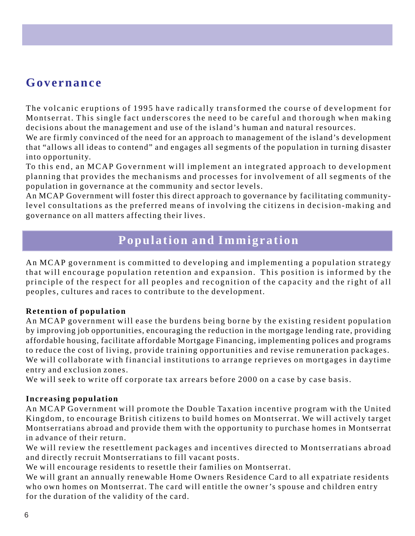### **Governance**

The volcanic eruptions of 1995 have radically transformed the course of development for Montserrat. This single fact underscores the need to be careful and thorough when making decisions about the management and use of the island's human and natural resources.

We are firmly convinced of the need for an approach to management of the island's development that "allows all ideas to contend" and engages all segments of the population in turning disaster into opportunity.

To this end, an MCAP Government will implement an integrated approach to development planning that provides the mechanisms and processes for involvement of all segments of the population in governance at the community and sector levels.

An MCAP Government will foster this direct approach to governance by facilitating communitylevel consultations as the preferred means of involving the citizens in decision-making and governance on all matters affecting their lives.

### **Population and Immigration**

An MCAP government is committed to developing and implementing a population strategy that will encourage population retention and expansion. This position is informed by the principle of the respect for all peoples and recognition of the capacity and the right of all peoples, cultures and races to contribute to the development.

#### **Retention of population**

An MCAP government will ease the burdens being borne by the existing resident population by improving job opportunities, encouraging the reduction in the mortgage lending rate, providing affordable housing, facilitate affordable Mortgage Financing, implementing polices and programs to reduce the cost of living, provide training opportunities and revise remuneration packages. We will collaborate with financial institutions to arrange reprieves on mortgages in daytime entry and exclusion zones.

We will seek to write off corporate tax arrears before 2000 on a case by case basis.

#### **Increasing population**

An MCAP Government will promote the Double Taxation incentive program with the United Kingdom, to encourage British citizens to build homes on Montserrat. We will actively target Montserratians abroad and provide them with the opportunity to purchase homes in Montserrat in advance of their return.

We will review the resettlement packages and incentives directed to Montserratians abroad and directly recruit Montserratians to fill vacant posts.

We will encourage residents to resettle their families on Montserrat.

We will grant an annually renewable Home Owners Residence Card to all expatriate residents who own homes on Montserrat. The card will entitle the owner's spouse and children entry for the duration of the validity of the card.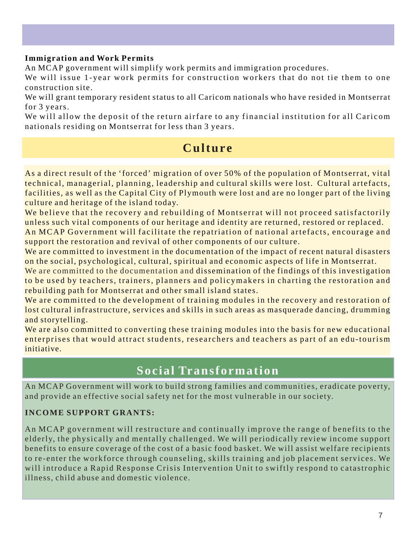#### **Immigration and Work Permits**

An MCAP government will simplify work permits and immigration procedures.

We will issue 1-year work permits for construction workers that do not tie them to one construction site.

We will grant temporary resident status to all Caricom nationals who have resided in Montserrat for 3 years.

We will allow the deposit of the return airfare to any financial institution for all Caricom nationals residing on Montserrat for less than 3 years.

### **Culture**

As a direct result of the 'forced' migration of over 50% of the population of Montserrat, vital technical, managerial, planning, leadership and cultural skills were lost. Cultural artefacts, facilities, as well as the Capital City of Plymouth were lost and are no longer part of the living culture and heritage of the island today.

We believe that the recovery and rebuilding of Montserrat will not proceed satisfactorily unless such vital components of our heritage and identity are returned, restored or replaced.

An MCAP Government will facilitate the repatriation of national artefacts, encourage and support the restoration and revival of other components of our culture.

We are committed to investment in the documentation of the impact of recent natural disasters on the social, psychological, cultural, spiritual and economic aspects of life in Montserrat.

We are committed to the documentation and dissemination of the findings of this investigation to be used by teachers, trainers, planners and policymakers in charting the restoration and rebuilding path for Montserrat and other small island states.

We are committed to the development of training modules in the recovery and restoration of lost cultural infrastructure, services and skills in such areas as masquerade dancing, drumming and storytelling.

We are also committed to converting these training modules into the basis for new educational enterprises that would attract students, researchers and teachers as part of an edu-tourism initiative.

### **Social Transformation**

An MCAP Government will work to build strong families and communities, eradicate poverty, and provide an effective social safety net for the most vulnerable in our society.

#### **INCOME SUPPORT GRANTS:**

An MCAP government will restructure and continually improve the range of benefits to the elderly, the physically and mentally challenged. We will periodically review income support benefits to ensure coverage of the cost of a basic food basket. We will assist welfare recipients to re-enter the workforce through counseling, skills training and job placement services. We will introduce a Rapid Response Crisis Intervention Unit to swiftly respond to catastrophic illness, child abuse and domestic violence.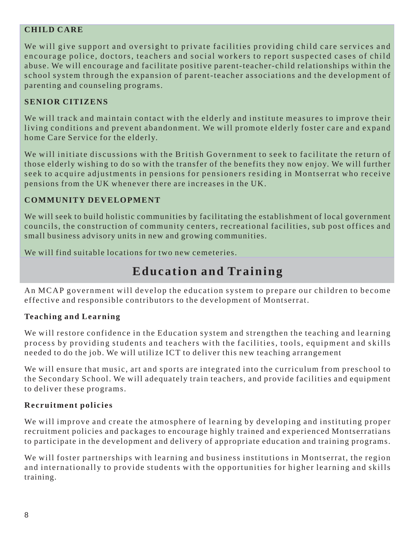#### **CHILD CARE**

We will give support and oversight to private facilities providing child care services and encourage police, doctors, teachers and social workers to report suspected cases of child abuse. We will encourage and facilitate positive parent-teacher-child relationships within the school system through the expansion of parent-teacher associations and the development of parenting and counseling programs.

#### **SENIOR CITIZENS**

We will track and maintain contact with the elderly and institute measures to improve their living conditions and prevent abandonment. We will promote elderly foster care and expand home Care Service for the elderly.

We will initiate discussions with the British Government to seek to facilitate the return of those elderly wishing to do so with the transfer of the benefits they now enjoy. We will further seek to acquire adjustments in pensions for pensioners residing in Montserrat who receive pensions from the UK whenever there are increases in the UK.

#### **COMMUNITY DEVELOPMENT**

We will seek to build holistic communities by facilitating the establishment of local government councils, the construction of community centers, recreational facilities, sub post offices and small business advisory units in new and growing communities.

We will find suitable locations for two new cemeteries.

### **Education and Training**

An MCAP government will develop the education system to prepare our children to become effective and responsible contributors to the development of Montserrat.

#### **Teaching and Learning**

We will restore confidence in the Education system and strengthen the teaching and learning process by providing students and teachers with the facilities, tools, equipment and skills needed to do the job. We will utilize ICT to deliver this new teaching arrangement

We will ensure that music, art and sports are integrated into the curriculum from preschool to the Secondary School. We will adequately train teachers, and provide facilities and equipment to deliver these programs.

#### **Recruitment policies**

We will improve and create the atmosphere of learning by developing and instituting proper recruitment policies and packages to encourage highly trained and experienced Montserratians to participate in the development and delivery of appropriate education and training programs.

We will foster partnerships with learning and business institutions in Montserrat, the region and internationally to provide students with the opportunities for higher learning and skills training.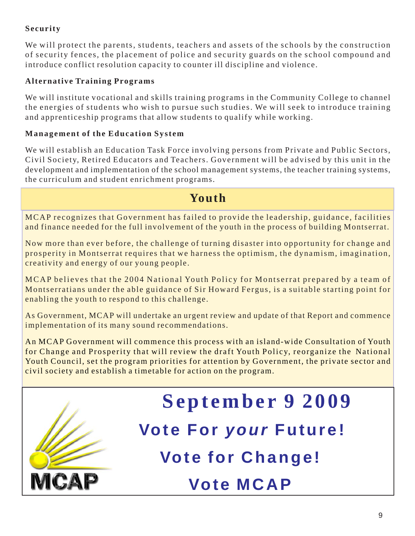#### **Security**

We will protect the parents, students, teachers and assets of the schools by the construction of security fences, the placement of police and security guards on the school compound and introduce conflict resolution capacity to counter ill discipline and violence.

#### **Alternative Training Programs**

We will institute vocational and skills training programs in the Community College to channel the energies of students who wish to pursue such studies. We will seek to introduce training and apprenticeship programs that allow students to qualify while working.

#### **Management of the Education System**

We will establish an Education Task Force involving persons from Private and Public Sectors, Civil Society, Retired Educators and Teachers. Government will be advised by this unit in the development and implementation of the school management systems, the teacher training systems, the curriculum and student enrichment programs.

### **Youth**

MCAP recognizes that Government has failed to provide the leadership, guidance, facilities and finance needed for the full involvement of the youth in the process of building Montserrat.

Now more than ever before, the challenge of turning disaster into opportunity for change and prosperity in Montserrat requires that we harness the optimism, the dynamism, imagination, creativity and energy of our young people.

MCAP believes that the 2004 National Youth Policy for Montserrat prepared by a team of Montserratians under the able guidance of Sir Howard Fergus, is a suitable starting point for enabling the youth to respond to this challenge.

As Government, MCAP will undertake an urgent review and update of that Report and commence implementation of its many sound recommendations.

An MCAP Government will commence this process with an island-wide Consultation of Youth for Change and Prosperity that will review the draft Youth Policy, reorganize the National Youth Council, set the program priorities for attention by Government, the private sector and civil society and establish a timetable for action on the program.

# **September 9 2009**

**Vote For** *your* **Future!**

**Vote for Change!**

## **Vote MCAP**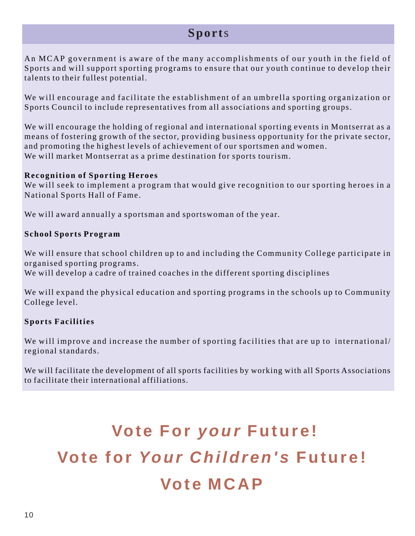### **Sport**s

An MCAP government is aware of the many accomplishments of our youth in the field of Sports and will support sporting programs to ensure that our youth continue to develop their talents to their fullest potential.

We will encourage and facilitate the establishment of an umbrella sporting organization or Sports Council to include representatives from all associations and sporting groups.

We will encourage the holding of regional and international sporting events in Montserrat as a means of fostering growth of the sector, providing business opportunity for the private sector, and promoting the highest levels of achievement of our sportsmen and women. We will market Montserrat as a prime destination for sports tourism.

#### **Recognition of Sporting Heroes**

We will seek to implement a program that would give recognition to our sporting heroes in a National Sports Hall of Fame.

We will award annually a sportsman and sportswoman of the year.

#### **School Sports Program**

We will ensure that school children up to and including the Community College participate in organised sporting programs.

We will develop a cadre of trained coaches in the different sporting disciplines

We will expand the physical education and sporting programs in the schools up to Community College level.

#### **Sports Facilities**

We will improve and increase the number of sporting facilities that are up to international/ regional standards.

We will facilitate the development of all sports facilities by working with all Sports Associations to facilitate their international affiliations.

# **Vote For** *your* **Future! Vote for** *Your Children's* **Future! Vote MCAP**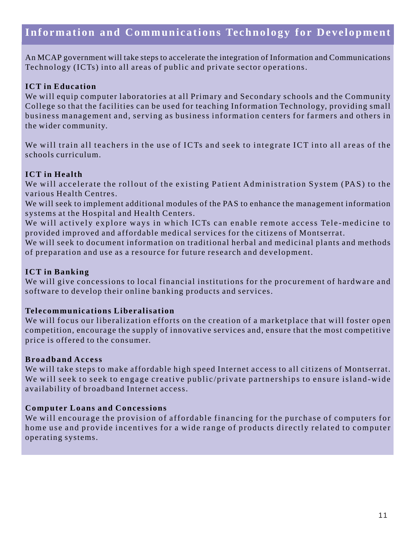### **Information and Communications Technology for Development**

An MCAP government will take steps to accelerate the integration of Information and Communications Technology (ICTs) into all areas of public and private sector operations.

#### **ICT in Education**

We will equip computer laboratories at all Primary and Secondary schools and the Community College so that the facilities can be used for teaching Information Technology, providing small business management and, serving as business information centers for farmers and others in the wider community.

We will train all teachers in the use of ICTs and seek to integrate ICT into all areas of the schools curriculum.

#### **ICT in Health**

We will accelerate the rollout of the existing Patient Administration System (PAS) to the various Health Centres.

We will seek to implement additional modules of the PAS to enhance the management information systems at the Hospital and Health Centers.

We will actively explore ways in which ICTs can enable remote access Tele-medicine to provided improved and affordable medical services for the citizens of Montserrat.

We will seek to document information on traditional herbal and medicinal plants and methods of preparation and use as a resource for future research and development.

#### **ICT in Banking**

We will give concessions to local financial institutions for the procurement of hardware and software to develop their online banking products and services.

#### **Telecommunications Liberalisation**

We will focus our liberalization efforts on the creation of a marketplace that will foster open competition, encourage the supply of innovative services and, ensure that the most competitive price is offered to the consumer.

#### **Broadband Access**

We will take steps to make affordable high speed Internet access to all citizens of Montserrat. We will seek to seek to engage creative public/private partnerships to ensure island-wide availability of broadband Internet access.

#### **Computer Loans and Concessions**

We will encourage the provision of affordable financing for the purchase of computers for home use and provide incentives for a wide range of products directly related to computer operating systems.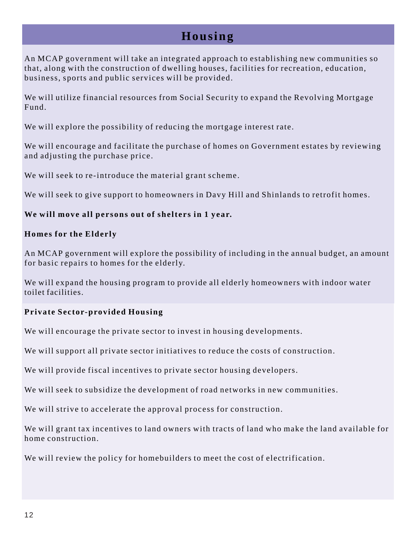### **Housing**

An MCAP government will take an integrated approach to establishing new communities so that, along with the construction of dwelling houses, facilities for recreation, education, business, sports and public services will be provided.

We will utilize financial resources from Social Security to expand the Revolving Mortgage Fund.

We will explore the possibility of reducing the mortgage interest rate.

We will encourage and facilitate the purchase of homes on Government estates by reviewing and adjusting the purchase price.

We will seek to re-introduce the material grant scheme.

We will seek to give support to homeowners in Davy Hill and Shinlands to retrofit homes.

#### **We will move all persons out of shelters in 1 year.**

#### **Homes for the Elderly**

An MCAP government will explore the possibility of including in the annual budget, an amount for basic repairs to homes for the elderly.

We will expand the housing program to provide all elderly homeowners with indoor water toilet facilities.

#### **Private Sector-provided Housing**

We will encourage the private sector to invest in housing developments.

We will support all private sector initiatives to reduce the costs of construction.

We will provide fiscal incentives to private sector housing developers.

We will seek to subsidize the development of road networks in new communities.

We will strive to accelerate the approval process for construction.

We will grant tax incentives to land owners with tracts of land who make the land available for home construction.

We will review the policy for homebuilders to meet the cost of electrification.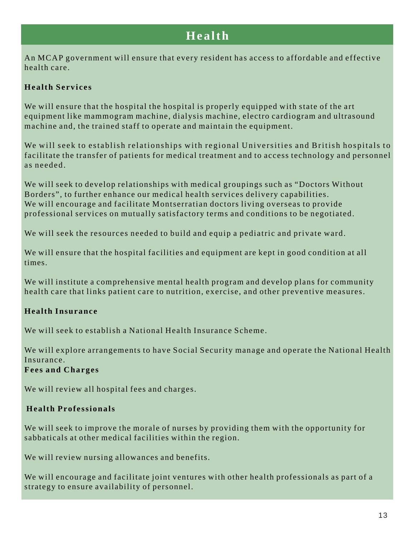### **Health**

An MCAP government will ensure that every resident has access to affordable and effective health care.

#### **Health Services**

We will ensure that the hospital the hospital is properly equipped with state of the art equipment like mammogram machine, dialysis machine, electro cardiogram and ultrasound machine and, the trained staff to operate and maintain the equipment.

We will seek to establish relationships with regional Universities and British hospitals to facilitate the transfer of patients for medical treatment and to access technology and personnel as needed.

We will seek to develop relationships with medical groupings such as "Doctors Without Borders", to further enhance our medical health services delivery capabilities. We will encourage and facilitate Montserratian doctors living overseas to provide professional services on mutually satisfactory terms and conditions to be negotiated.

We will seek the resources needed to build and equip a pediatric and private ward.

We will ensure that the hospital facilities and equipment are kept in good condition at all times.

We will institute a comprehensive mental health program and develop plans for community health care that links patient care to nutrition, exercise, and other preventive measures.

#### **Health Insurance**

We will seek to establish a National Health Insurance Scheme.

We will explore arrangements to have Social Security manage and operate the National Health Insurance.

#### **Fees and Charges**

We will review all hospital fees and charges.

#### **Health Professionals**

We will seek to improve the morale of nurses by providing them with the opportunity for sabbaticals at other medical facilities within the region.

We will review nursing allowances and benefits.

We will encourage and facilitate joint ventures with other health professionals as part of a strategy to ensure availability of personnel.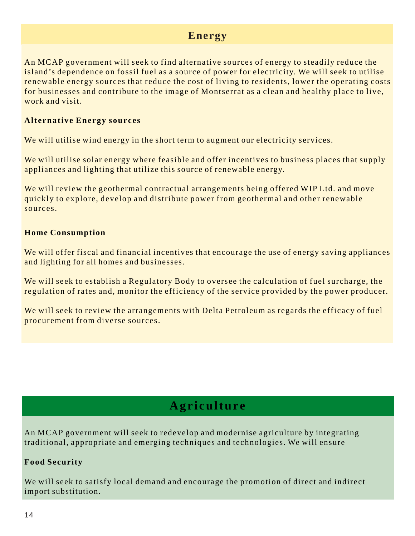### **Energy**

An MCAP government will seek to find alternative sources of energy to steadily reduce the island's dependence on fossil fuel as a source of power for electricity. We will seek to utilise renewable energy sources that reduce the cost of living to residents, lower the operating costs for businesses and contribute to the image of Montserrat as a clean and healthy place to live, work and visit.

#### **Alternative Energy sources**

We will utilise wind energy in the short term to augment our electricity services.

We will utilise solar energy where feasible and offer incentives to business places that supply appliances and lighting that utilize this source of renewable energy.

We will review the geothermal contractual arrangements being offered WIP Ltd. and move quickly to explore, develop and distribute power from geothermal and other renewable sources.

#### **Home Consumption**

We will offer fiscal and financial incentives that encourage the use of energy saving appliances and lighting for all homes and businesses.

We will seek to establish a Regulatory Body to oversee the calculation of fuel surcharge, the regulation of rates and, monitor the efficiency of the service provided by the power producer.

We will seek to review the arrangements with Delta Petroleum as regards the efficacy of fuel procurement from diverse sources.

### **Agriculture**

An MCAP government will seek to redevelop and modernise agriculture by integrating traditional, appropriate and emerging techniques and technologies. We will ensure

#### **Food Security**

We will seek to satisfy local demand and encourage the promotion of direct and indirect import substitution.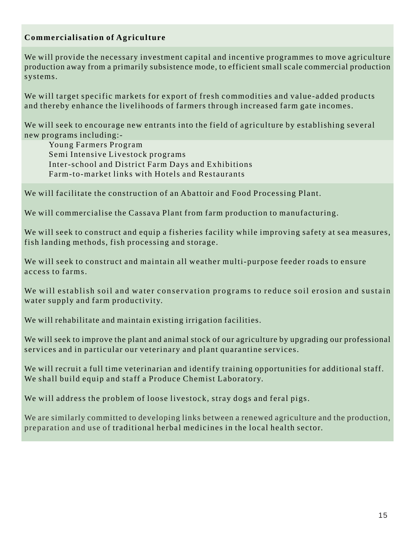#### **Commercialisation of Agriculture**

We will provide the necessary investment capital and incentive programmes to move agriculture production away from a primarily subsistence mode, to efficient small scale commercial production systems.

We will target specific markets for export of fresh commodities and value-added products and thereby enhance the livelihoods of farmers through increased farm gate incomes.

We will seek to encourage new entrants into the field of agriculture by establishing several new programs including:-

Young Farmers Program Semi Intensive Livestock programs Inter-school and District Farm Days and Exhibitions Farm-to-market links with Hotels and Restaurants

We will facilitate the construction of an Abattoir and Food Processing Plant.

We will commercialise the Cassava Plant from farm production to manufacturing.

We will seek to construct and equip a fisheries facility while improving safety at sea measures, fish landing methods, fish processing and storage.

We will seek to construct and maintain all weather multi-purpose feeder roads to ensure access to farms.

We will establish soil and water conservation programs to reduce soil erosion and sustain water supply and farm productivity.

We will rehabilitate and maintain existing irrigation facilities.

We will seek to improve the plant and animal stock of our agriculture by upgrading our professional services and in particular our veterinary and plant quarantine services.

We will recruit a full time veterinarian and identify training opportunities for additional staff. We shall build equip and staff a Produce Chemist Laboratory.

We will address the problem of loose livestock, stray dogs and feral pigs.

We are similarly committed to developing links between a renewed agriculture and the production, preparation and use of traditional herbal medicines in the local health sector.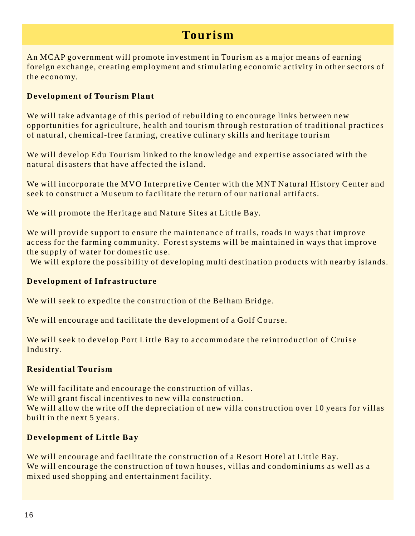### **Tourism**

An MCAP government will promote investment in Tourism as a major means of earning foreign exchange, creating employment and stimulating economic activity in other sectors of the economy.

#### **Development of Tourism Plant**

We will take advantage of this period of rebuilding to encourage links between new opportunities for agriculture, health and tourism through restoration of traditional practices of natural, chemical-free farming, creative culinary skills and heritage tourism

We will develop Edu Tourism linked to the knowledge and expertise associated with the natural disasters that have affected the island.

We will incorporate the MVO Interpretive Center with the MNT Natural History Center and seek to construct a Museum to facilitate the return of our national artifacts.

We will promote the Heritage and Nature Sites at Little Bay.

We will provide support to ensure the maintenance of trails, roads in ways that improve access for the farming community. Forest systems will be maintained in ways that improve the supply of water for domestic use.

We will explore the possibility of developing multi destination products with nearby islands.

#### **Development of Infrastructure**

We will seek to expedite the construction of the Belham Bridge.

We will encourage and facilitate the development of a Golf Course.

We will seek to develop Port Little Bay to accommodate the reintroduction of Cruise Industry.

#### **Residential Tourism**

We will facilitate and encourage the construction of villas. We will grant fiscal incentives to new villa construction. We will allow the write off the depreciation of new villa construction over 10 years for villas built in the next 5 years.

#### **Development of Little Bay**

We will encourage and facilitate the construction of a Resort Hotel at Little Bay. We will encourage the construction of town houses, villas and condominiums as well as a mixed used shopping and entertainment facility.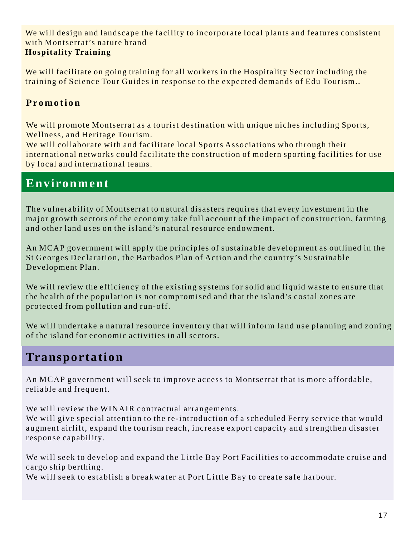We will design and landscape the facility to incorporate local plants and features consistent with Montserrat's nature brand **Hospitality Training**

We will facilitate on going training for all workers in the Hospitality Sector including the training of Science Tour Guides in response to the expected demands of Edu Tourism..

#### **Promotion**

We will promote Montserrat as a tourist destination with unique niches including Sports, Wellness, and Heritage Tourism.

We will collaborate with and facilitate local Sports Associations who through their international networks could facilitate the construction of modern sporting facilities for use by local and international teams.

### **Environment**

The vulnerability of Montserrat to natural disasters requires that every investment in the major growth sectors of the economy take full account of the impact of construction, farming and other land uses on the island's natural resource endowment.

An MCAP government will apply the principles of sustainable development as outlined in the St Georges Declaration, the Barbados Plan of Action and the country's Sustainable Development Plan.

We will review the efficiency of the existing systems for solid and liquid waste to ensure that the health of the population is not compromised and that the island's costal zones are protected from pollution and run-off.

We will undertake a natural resource inventory that will inform land use planning and zoning of the island for economic activities in all sectors.

### **Transportation**

An MCAP government will seek to improve access to Montserrat that is more affordable, reliable and frequent.

We will review the WINAIR contractual arrangements.

We will give special attention to the re-introduction of a scheduled Ferry service that would augment airlift, expand the tourism reach, increase export capacity and strengthen disaster response capability.

We will seek to develop and expand the Little Bay Port Facilities to accommodate cruise and cargo ship berthing.

We will seek to establish a breakwater at Port Little Bay to create safe harbour.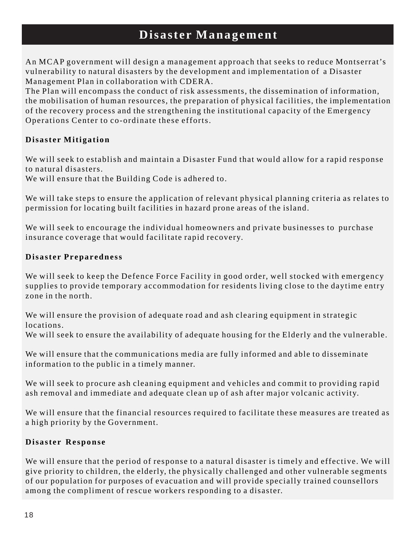### **Disaster Management**

An MCAP government will design a management approach that seeks to reduce Montserrat's vulnerability to natural disasters by the development and implementation of a Disaster Management Plan in collaboration with CDERA.

The Plan will encompass the conduct of risk assessments, the dissemination of information, the mobilisation of human resources, the preparation of physical facilities, the implementation of the recovery process and the strengthening the institutional capacity of the Emergency Operations Center to co-ordinate these efforts.

#### **Disaster Mitigation**

We will seek to establish and maintain a Disaster Fund that would allow for a rapid response to natural disasters.

We will ensure that the Building Code is adhered to.

We will take steps to ensure the application of relevant physical planning criteria as relates to permission for locating built facilities in hazard prone areas of the island.

We will seek to encourage the individual homeowners and private businesses to purchase insurance coverage that would facilitate rapid recovery.

#### **Disaster Preparedness**

We will seek to keep the Defence Force Facility in good order, well stocked with emergency supplies to provide temporary accommodation for residents living close to the daytime entry zone in the north.

We will ensure the provision of adequate road and ash clearing equipment in strategic locations.

We will seek to ensure the availability of adequate housing for the Elderly and the vulnerable.

We will ensure that the communications media are fully informed and able to disseminate information to the public in a timely manner.

We will seek to procure ash cleaning equipment and vehicles and commit to providing rapid ash removal and immediate and adequate clean up of ash after major volcanic activity.

We will ensure that the financial resources required to facilitate these measures are treated as a high priority by the Government.

#### **Disaster Response**

We will ensure that the period of response to a natural disaster is timely and effective. We will give priority to children, the elderly, the physically challenged and other vulnerable segments of our population for purposes of evacuation and will provide specially trained counsellors among the compliment of rescue workers responding to a disaster.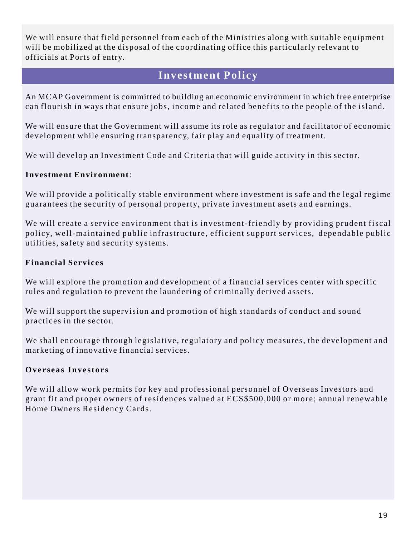We will ensure that field personnel from each of the Ministries along with suitable equipment will be mobilized at the disposal of the coordinating office this particularly relevant to officials at Ports of entry.

#### **Investment Policy**

An MCAP Government is committed to building an economic environment in which free enterprise can flourish in ways that ensure jobs, income and related benefits to the people of the island.

We will ensure that the Government will assume its role as regulator and facilitator of economic development while ensuring transparency, fair play and equality of treatment.

We will develop an Investment Code and Criteria that will guide activity in this sector.

#### **Investment Environment**:

We will provide a politically stable environment where investment is safe and the legal regime guarantees the security of personal property, private investment asets and earnings.

We will create a service environment that is investment-friendly by providing prudent fiscal policy, well-maintained public infrastructure, efficient support services, dependable public utilities, safety and security systems.

#### **Financial Services**

We will explore the promotion and development of a financial services center with specific rules and regulation to prevent the laundering of criminally derived assets.

We will support the supervision and promotion of high standards of conduct and sound practices in the sector.

We shall encourage through legislative, regulatory and policy measures, the development and marketing of innovative financial services.

#### **Overseas Investors**

We will allow work permits for key and professional personnel of Overseas Investors and grant fit and proper owners of residences valued at ECS\$500,000 or more; annual renewable Home Owners Residency Cards.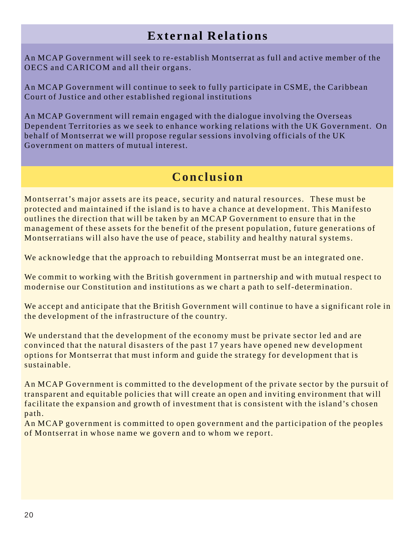### **External Relations**

An MCAP Government will seek to re-establish Montserrat as full and active member of the OECS and CARICOM and all their organs.

An MCAP Government will continue to seek to fully participate in CSME, the Caribbean Court of Justice and other established regional institutions

An MCAP Government will remain engaged with the dialogue involving the Overseas Dependent Territories as we seek to enhance working relations with the UK Government. On behalf of Montserrat we will propose regular sessions involving officials of the UK Government on matters of mutual interest.

### **Conclusion**

Montserrat's major assets are its peace, security and natural resources. These must be protected and maintained if the island is to have a chance at development. This Manifesto outlines the direction that will be taken by an MCAP Government to ensure that in the management of these assets for the benefit of the present population, future generations of Montserratians will also have the use of peace, stability and healthy natural systems.

We acknowledge that the approach to rebuilding Montserrat must be an integrated one.

We commit to working with the British government in partnership and with mutual respect to modernise our Constitution and institutions as we chart a path to self-determination.

We accept and anticipate that the British Government will continue to have a significant role in the development of the infrastructure of the country.

We understand that the development of the economy must be private sector led and are convinced that the natural disasters of the past 17 years have opened new development options for Montserrat that must inform and guide the strategy for development that is sustainable.

An MCAP Government is committed to the development of the private sector by the pursuit of transparent and equitable policies that will create an open and inviting environment that will facilitate the expansion and growth of investment that is consistent with the island's chosen path.

An MCAP government is committed to open government and the participation of the peoples of Montserrat in whose name we govern and to whom we report.